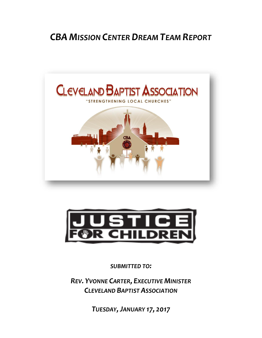# *CBA MISSION CENTER DREAM TEAM REPORT*





*SUBMITTED TO:*

*REV. YVONNE CARTER, EXECUTIVE MINISTER CLEVELAND BAPTIST ASSOCIATION*

*TUESDAY,JANUARY 17, 2017*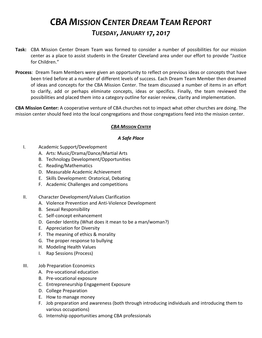## *CBA MISSION CENTER DREAM TEAM REPORT TUESDAY,JANUARY 17, 2017*

- **Task:** CBA Mission Center Dream Team was formed to consider a number of possibilities for our mission center as a place to assist students in the Greater Cleveland area under our effort to provide "Justice for Children."
- **Process**: Dream Team Members were given an opportunity to reflect on previous ideas or concepts that have been tried before at a number of different levels of success. Each Dream Team Member then dreamed of ideas and concepts for the CBA Mission Center. The team discussed a number of items in an effort to clarify, add or perhaps eliminate concepts, ideas or specifics. Finally, the team reviewed the possibilities and placed them into a category outline for easier review, clarity and implementation.

**CBA Mission Center:** A cooperative venture of CBA churches not to impact what other churches are doing. The mission center should feed into the local congregations and those congregations feed into the mission center.

### *CBA MISSION CENTER*

### *A Safe Place*

- I. Academic Support/Development
	- A. Arts: Music/Drama/Dance/Martial Arts
	- B. Technology Development/Opportunities
	- C. Reading/Mathematics
	- D. Measurable Academic Achievement
	- E. Skills Development: Oratorical, Debating
	- F. Academic Challenges and competitions
- II. Character Development/Values Clarification
	- A. Violence Prevention and Anti-Violence Development
	- B. Sexual Responsibility
	- C. Self-concept enhancement
	- D. Gender Identity (What does it mean to be a man/woman?)
	- E. Appreciation for Diversity
	- F. The meaning of ethics & morality
	- G. The proper response to bullying
	- H. Modeling Health Values
	- I. Rap Sessions (Process)
- III. Job Preparation Economics
	- A. Pre-vocational education
	- B. Pre-vocational exposure
	- C. Entrepreneurship Engagement Exposure
	- D. College Preparation
	- E. How to manage money
	- F. Job preparation and awareness (both through introducing individuals and introducing them to various occupations)
	- G. Internship opportunities among CBA professionals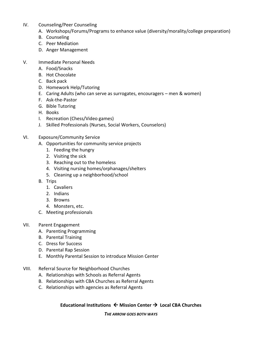- IV. Counseling/Peer Counseling
	- A. Workshops/Forums/Programs to enhance value (diversity/morality/college preparation)
	- B. Counseling
	- C. Peer Mediation
	- D. Anger Management
- V. Immediate Personal Needs
	- A. Food/Snacks
	- B. Hot Chocolate
	- C. Back pack
	- D. Homework Help/Tutoring
	- E. Caring Adults (who can serve as surrogates, encouragers men & women)
	- F. Ask-the-Pastor
	- G. Bible Tutoring
	- H. Books
	- I. Recreation (Chess/Video games)
	- J. Skilled Professionals (Nurses, Social Workers, Counselors)
- VI. Exposure/Community Service
	- A. Opportunities for community service projects
		- 1. Feeding the hungry
		- 2. Visiting the sick
		- 3. Reaching out to the homeless
		- 4. Visiting nursing homes/orphanages/shelters
		- 5. Cleaning up a neighborhood/school
	- B. Trips
		- 1. Cavaliers
		- 2. Indians
		- 3. Browns
		- 4. Monsters, etc.
	- C. Meeting professionals
- VII. Parent Engagement
	- A. Parenting Programming
	- B. Parental Training
	- C. Dress for Success
	- D. Parental Rap Session
	- E. Monthly Parental Session to introduce Mission Center
- VIII. Referral Source for Neighborhood Churches
	- A. Relationships with Schools as Referral Agents
	- B. Relationships with CBA Churches as Referral Agents
	- C. Relationships with agencies as Referral Agents

Educational Institutions  $\leftarrow$  Mission Center  $\rightarrow$  Local CBA Churches

*THE ARROW GOES BOTH WAYS*